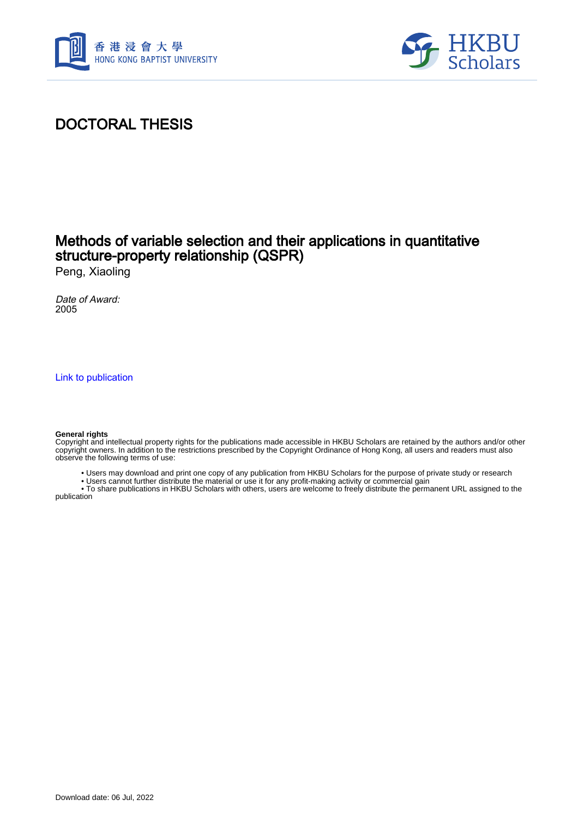



## DOCTORAL THESIS

### Methods of variable selection and their applications in quantitative structure-property relationship (QSPR)

Peng, Xiaoling

Date of Award: 2005

[Link to publication](https://scholars.hkbu.edu.hk/en/studentTheses/495d6fd3-5a01-43ef-80fb-b1ca49f113cd)

#### **General rights**

Copyright and intellectual property rights for the publications made accessible in HKBU Scholars are retained by the authors and/or other copyright owners. In addition to the restrictions prescribed by the Copyright Ordinance of Hong Kong, all users and readers must also observe the following terms of use:

- Users may download and print one copy of any publication from HKBU Scholars for the purpose of private study or research
- Users cannot further distribute the material or use it for any profit-making activity or commercial gain

 • To share publications in HKBU Scholars with others, users are welcome to freely distribute the permanent URL assigned to the publication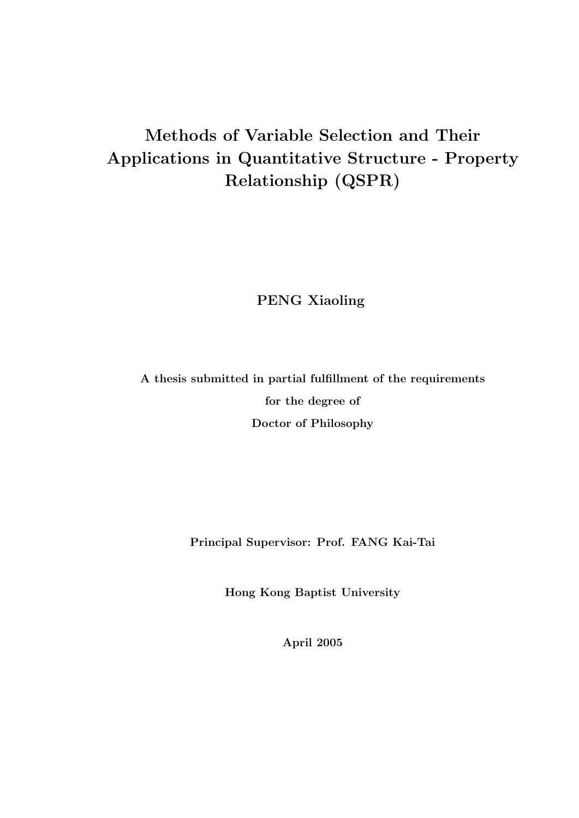## Methods of Variable Selection and Their Applications in Quantitative Structure - Property Relationship (QSPR)

PENG Xiaoling

A thesis submitted in partial fulfillment of the requirements for the degree of Doctor of Philosophy

Principal Supervisor: Prof. FANG Kai-Tai

Hong Kong Baptist University

April 2005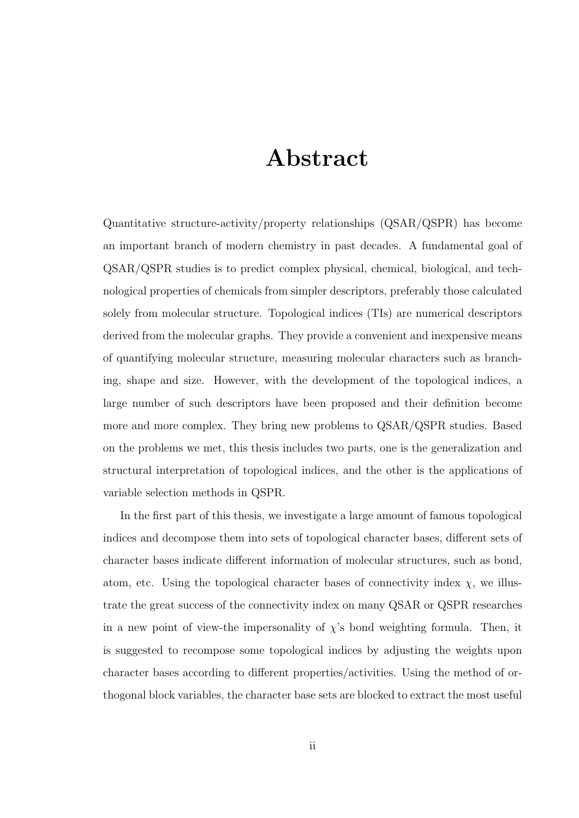# Abstract

Quantitative structure-activity/property relationships (QSAR/QSPR) has become an important branch of modern chemistry in past decades. A fundamental goal of QSAR/QSPR studies is to predict complex physical, chemical, biological, and technological properties of chemicals from simpler descriptors, preferably those calculated solely from molecular structure. Topological indices (TIs) are numerical descriptors derived from the molecular graphs. They provide a convenient and inexpensive means of quantifying molecular structure, measuring molecular characters such as branching, shape and size. However, with the development of the topological indices, a large number of such descriptors have been proposed and their definition become more and more complex. They bring new problems to QSAR/QSPR studies. Based on the problems we met, this thesis includes two parts, one is the generalization and structural interpretation of topological indices, and the other is the applications of variable selection methods in QSPR.

In the first part of this thesis, we investigate a large amount of famous topological indices and decompose them into sets of topological character bases, different sets of character bases indicate different information of molecular structures, such as bond, atom, etc. Using the topological character bases of connectivity index  $\chi$ , we illustrate the great success of the connectivity index on many QSAR or QSPR researches in a new point of view-the impersonality of  $\chi$ 's bond weighting formula. Then, it is suggested to recompose some topological indices by adjusting the weights upon character bases according to different properties/activities. Using the method of orthogonal block variables, the character base sets are blocked to extract the most useful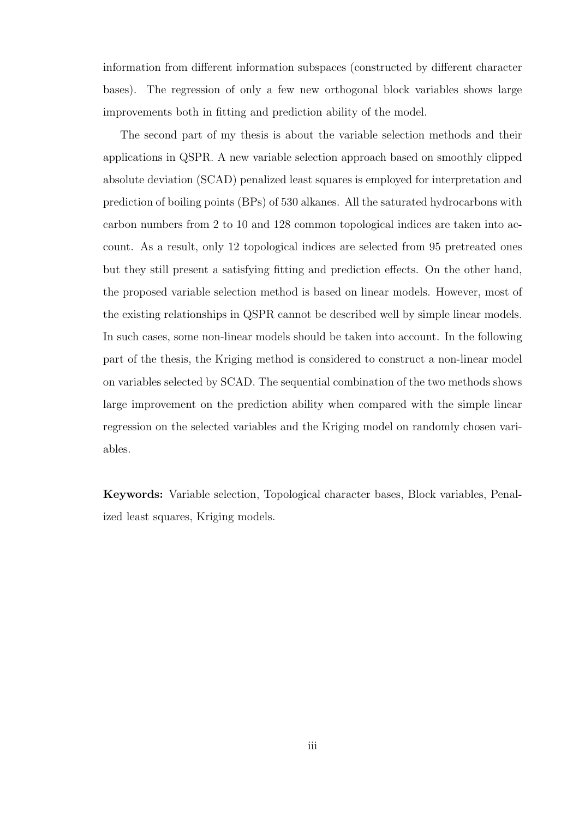information from different information subspaces (constructed by different character bases). The regression of only a few new orthogonal block variables shows large improvements both in fitting and prediction ability of the model.

The second part of my thesis is about the variable selection methods and their applications in QSPR. A new variable selection approach based on smoothly clipped absolute deviation (SCAD) penalized least squares is employed for interpretation and prediction of boiling points (BPs) of 530 alkanes. All the saturated hydrocarbons with carbon numbers from 2 to 10 and 128 common topological indices are taken into account. As a result, only 12 topological indices are selected from 95 pretreated ones but they still present a satisfying fitting and prediction effects. On the other hand, the proposed variable selection method is based on linear models. However, most of the existing relationships in QSPR cannot be described well by simple linear models. In such cases, some non-linear models should be taken into account. In the following part of the thesis, the Kriging method is considered to construct a non-linear model on variables selected by SCAD. The sequential combination of the two methods shows large improvement on the prediction ability when compared with the simple linear regression on the selected variables and the Kriging model on randomly chosen variables.

Keywords: Variable selection, Topological character bases, Block variables, Penalized least squares, Kriging models.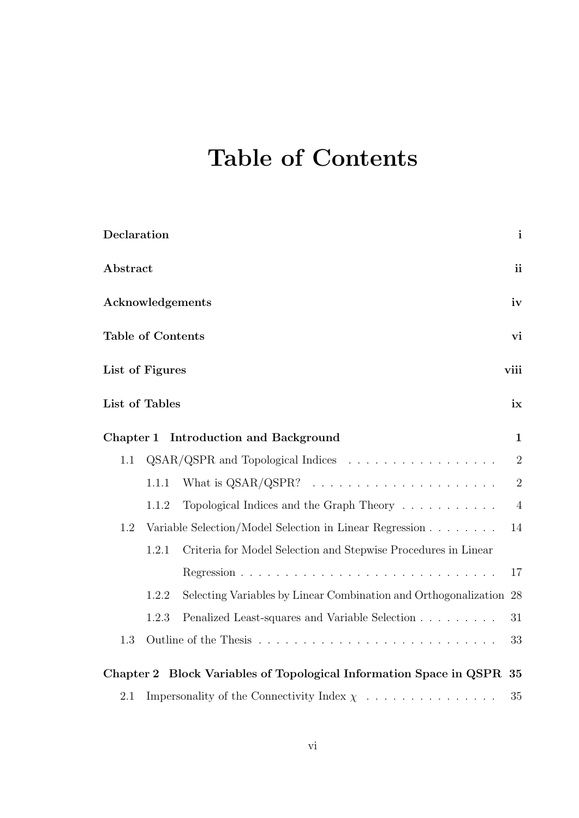# Table of Contents

| Declaration                                                    |       |                                                                       | $\mathbf{i}$   |
|----------------------------------------------------------------|-------|-----------------------------------------------------------------------|----------------|
| Abstract                                                       |       |                                                                       | <i>ii</i>      |
| Acknowledgements                                               |       |                                                                       |                |
| <b>Table of Contents</b>                                       |       |                                                                       | vi             |
| List of Figures                                                |       |                                                                       | viii           |
| List of Tables                                                 |       |                                                                       | ix             |
|                                                                |       | Chapter 1 Introduction and Background                                 | $\mathbf{1}$   |
| 1.1                                                            |       | QSAR/QSPR and Topological Indices                                     | $\overline{2}$ |
|                                                                | 1.1.1 |                                                                       | $\overline{2}$ |
|                                                                | 1.1.2 | Topological Indices and the Graph Theory                              | $\overline{4}$ |
| Variable Selection/Model Selection in Linear Regression<br>1.2 |       |                                                                       | 14             |
|                                                                | 1.2.1 | Criteria for Model Selection and Stepwise Procedures in Linear        |                |
|                                                                |       |                                                                       | 17             |
|                                                                | 1.2.2 | Selecting Variables by Linear Combination and Orthogonalization 28    |                |
|                                                                | 1.2.3 | Penalized Least-squares and Variable Selection                        | 31             |
| 1.3                                                            |       |                                                                       | 33             |
|                                                                |       | Chapter 2 Block Variables of Topological Information Space in QSPR 35 |                |
| 2.1                                                            |       | Impersonality of the Connectivity Index $\chi$                        | 35             |